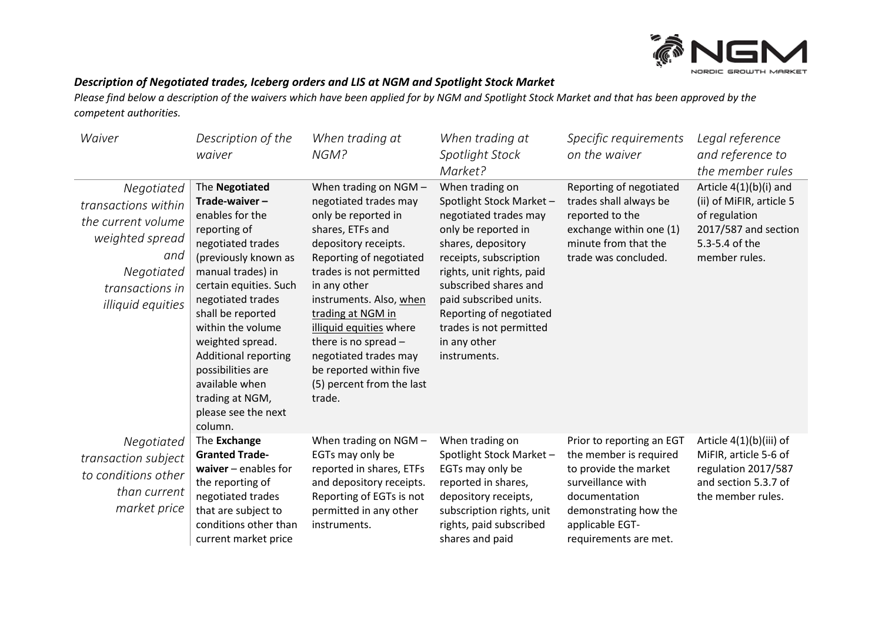

## *Description of Negotiated trades, Iceberg orders and LIS at NGM and Spotlight Stock Market*

*Please find below a description of the waivers which have been applied for by NGM and Spotlight Stock Market and that has been approved by the competent authorities.* 

| Waiver                                                                                                                                  | Description of the<br>waiver                                                                                                                                                                                                                                                                                                                                                 | When trading at<br>NGM?                                                                                                                                                                                                                                                                                                                                                               | When trading at<br>Spotlight Stock<br>Market?                                                                                                                                                                                                                                                                    | Specific requirements<br>on the waiver                                                                                                                                                  | Legal reference<br>and reference to<br>the member rules                                                                          |
|-----------------------------------------------------------------------------------------------------------------------------------------|------------------------------------------------------------------------------------------------------------------------------------------------------------------------------------------------------------------------------------------------------------------------------------------------------------------------------------------------------------------------------|---------------------------------------------------------------------------------------------------------------------------------------------------------------------------------------------------------------------------------------------------------------------------------------------------------------------------------------------------------------------------------------|------------------------------------------------------------------------------------------------------------------------------------------------------------------------------------------------------------------------------------------------------------------------------------------------------------------|-----------------------------------------------------------------------------------------------------------------------------------------------------------------------------------------|----------------------------------------------------------------------------------------------------------------------------------|
| Negotiated<br>transactions within<br>the current volume<br>weighted spread<br>and<br>Negotiated<br>transactions in<br>illiquid equities | The Negotiated<br>Trade-waiver-<br>enables for the<br>reporting of<br>negotiated trades<br>(previously known as<br>manual trades) in<br>certain equities. Such<br>negotiated trades<br>shall be reported<br>within the volume<br>weighted spread.<br><b>Additional reporting</b><br>possibilities are<br>available when<br>trading at NGM,<br>please see the next<br>column. | When trading on NGM -<br>negotiated trades may<br>only be reported in<br>shares, ETFs and<br>depository receipts.<br>Reporting of negotiated<br>trades is not permitted<br>in any other<br>instruments. Also, when<br>trading at NGM in<br>illiquid equities where<br>there is no spread -<br>negotiated trades may<br>be reported within five<br>(5) percent from the last<br>trade. | When trading on<br>Spotlight Stock Market-<br>negotiated trades may<br>only be reported in<br>shares, depository<br>receipts, subscription<br>rights, unit rights, paid<br>subscribed shares and<br>paid subscribed units.<br>Reporting of negotiated<br>trades is not permitted<br>in any other<br>instruments. | Reporting of negotiated<br>trades shall always be<br>reported to the<br>exchange within one (1)<br>minute from that the<br>trade was concluded.                                         | Article $4(1)(b)(i)$ and<br>(ii) of MiFIR, article 5<br>of regulation<br>2017/587 and section<br>5.3-5.4 of the<br>member rules. |
| Negotiated<br>transaction subject<br>to conditions other<br>than current<br>market price                                                | The Exchange<br><b>Granted Trade-</b><br>waiver $-$ enables for<br>the reporting of<br>negotiated trades<br>that are subject to<br>conditions other than<br>current market price                                                                                                                                                                                             | When trading on NGM -<br>EGTs may only be<br>reported in shares, ETFs<br>and depository receipts.<br>Reporting of EGTs is not<br>permitted in any other<br>instruments.                                                                                                                                                                                                               | When trading on<br>Spotlight Stock Market -<br>EGTs may only be<br>reported in shares,<br>depository receipts,<br>subscription rights, unit<br>rights, paid subscribed<br>shares and paid                                                                                                                        | Prior to reporting an EGT<br>the member is required<br>to provide the market<br>surveillance with<br>documentation<br>demonstrating how the<br>applicable EGT-<br>requirements are met. | Article 4(1)(b)(iii) of<br>MiFIR, article 5-6 of<br>regulation 2017/587<br>and section 5.3.7 of<br>the member rules.             |